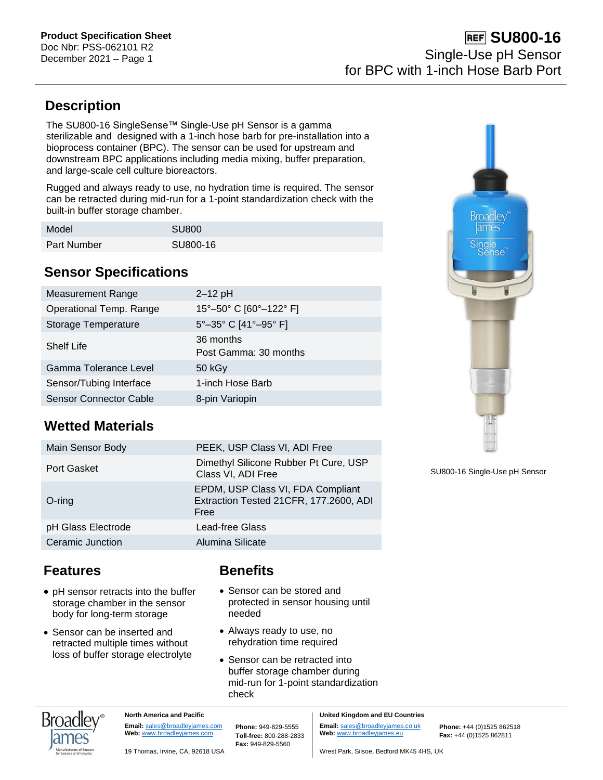## **Description**

The SU800-16 SingleSense™ Single-Use pH Sensor is a gamma sterilizable and designed with a 1-inch hose barb for pre-installation into a bioprocess container (BPC). The sensor can be used for upstream and downstream BPC applications including media mixing, buffer preparation, and large-scale cell culture bioreactors.

Rugged and always ready to use, no hydration time is required. The sensor can be retracted during mid-run for a 1-point standardization check with the built-in buffer storage chamber.

| Model              | <b>SU800</b> |
|--------------------|--------------|
| <b>Part Number</b> | SU800-16     |

### **Sensor Specifications**

| <b>Measurement Range</b>      | $2-12$ pH                          |
|-------------------------------|------------------------------------|
| Operational Temp. Range       | 15°-50° C [60°-122° F]             |
| Storage Temperature           | 5°-35° C [41°-95° F]               |
| <b>Shelf Life</b>             | 36 months<br>Post Gamma: 30 months |
| Gamma Tolerance Level         | 50 kGy                             |
| Sensor/Tubing Interface       | 1-inch Hose Barb                   |
| <b>Sensor Connector Cable</b> | 8-pin Variopin                     |

# **Wetted Materials**

| Main Sensor Body   | PEEK, USP Class VI, ADI Free                                                        |
|--------------------|-------------------------------------------------------------------------------------|
| Port Gasket        | Dimethyl Silicone Rubber Pt Cure, USP<br>Class VI, ADI Free                         |
| $O$ -ring          | EPDM, USP Class VI, FDA Compliant<br>Extraction Tested 21CFR, 177.2600, ADI<br>Free |
| pH Glass Electrode | Lead-free Glass                                                                     |
| Ceramic Junction   | Alumina Silicate                                                                    |

### **Features**

- pH sensor retracts into the buffer storage chamber in the sensor body for long-term storage
- Sensor can be inserted and retracted multiple times without loss of buffer storage electrolyte

### **Benefits**

- Sensor can be stored and protected in sensor housing until needed
- Always ready to use, no rehydration time required
- Sensor can be retracted into buffer storage chamber during mid-run for 1-point standardization check



SU800-16 Single-Use pH Sensor



**North America and Pacific Email:** [sales@broadleyjames.com](mailto:sales@broadleyjames.com)

**Web:** [www.broadleyjames.com](http://www.broadleyjames.com/) **Phone:** 949-829-5555 **Toll-free:** 800-288-2833 **Fax:** 949-829-5560

**United Kingdom and EU Countries Email:** [sales@broadleyjames.co.uk](mailto:sales@broadleyjames.co.uk) **Web:** [www.broadleyjames.eu](http://www.broadleyjames.eu/)

**Phone:** +44 (0)1525 862518 **Fax:** +44 (0)1525 862811

19 Thomas, Irvine, CA, 92618 USA Wrest Park, Silsoe, Bedford MK45 4HS, UK